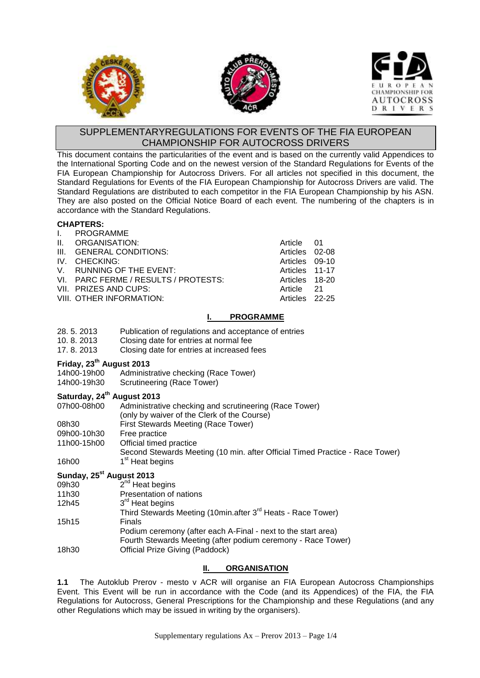





# SUPPLEMENTARYREGULATIONS FOR EVENTS OF THE FIA EUROPEAN CHAMPIONSHIP FOR AUTOCROSS DRIVERS

This document contains the particularities of the event and is based on the currently valid Appendices to the International Sporting Code and on the newest version of the Standard Regulations for Events of the FIA European Championship for Autocross Drivers. For all articles not specified in this document, the Standard Regulations for Events of the FIA European Championship for Autocross Drivers are valid. The Standard Regulations are distributed to each competitor in the FIA European Championship by his ASN. They are also posted on the Official Notice Board of each event. The numbering of the chapters is in accordance with the Standard Regulations.

#### **CHAPTERS:**

| I. PROGRAMME                         |                |  |
|--------------------------------------|----------------|--|
| II. ORGANISATION:                    | Article 01     |  |
| III. GENERAL CONDITIONS:             | Articles 02-08 |  |
| IV. CHECKING:                        | Articles 09-10 |  |
| V. RUNNING OF THE EVENT:             | Articles 11-17 |  |
| VI. PARC FERME / RESULTS / PROTESTS: | Articles 18-20 |  |
| VII. PRIZES AND CUPS:                | Article 21     |  |
| VIII. OTHER INFORMATION:             | Articles 22-25 |  |
|                                      |                |  |

# **I. PROGRAMME**

- 28. 5. 2013 Publication of regulations and acceptance of entries
- 10. 8. 2013 Closing date for entries at normal fee
- 17. 8. 2013 Closing date for entries at increased fees

# **Friday, 23 th August 2013**

- 14h00-19h00 Administrative checking (Race Tower)
- 14h00-19h30 Scrutineering (Race Tower)

## **Saturday, 24 th August 2013**

- 07h00-08h00 Administrative checking and scrutineering (Race Tower)
- (only by waiver of the Clerk of the Course)
- 08h30 First Stewards Meeting (Race Tower)
- 09h00-10h30 Free practice
- 11h00-15h00 Official timed practice
- Second Stewards Meeting (10 min. after Official Timed Practice Race Tower)
- 16h00 1 1<sup>st</sup> Heat begins

# **Sunday, 25 st August 2013**

|       | Sunday, 29 Addust 2019                                                  |
|-------|-------------------------------------------------------------------------|
| 09h30 | $2nd$ Heat begins                                                       |
| 11h30 | Presentation of nations                                                 |
| 12h45 | 3 <sup>rd</sup> Heat begins                                             |
|       | Third Stewards Meeting (10min.after 3 <sup>rd</sup> Heats - Race Tower) |
| 15h15 | Finals                                                                  |
|       | Podium ceremony (after each A-Final - next to the start area)           |
|       | Fourth Stewards Meeting (after podium ceremony - Race Tower)            |
| 18h30 | Official Prize Giving (Paddock)                                         |
|       |                                                                         |

# **II. ORGANISATION**

**1.1** The Autoklub Prerov - mesto v ACR will organise an FIA European Autocross Championships Event. This Event will be run in accordance with the Code (and its Appendices) of the FIA, the FIA Regulations for Autocross, General Prescriptions for the Championship and these Regulations (and any other Regulations which may be issued in writing by the organisers).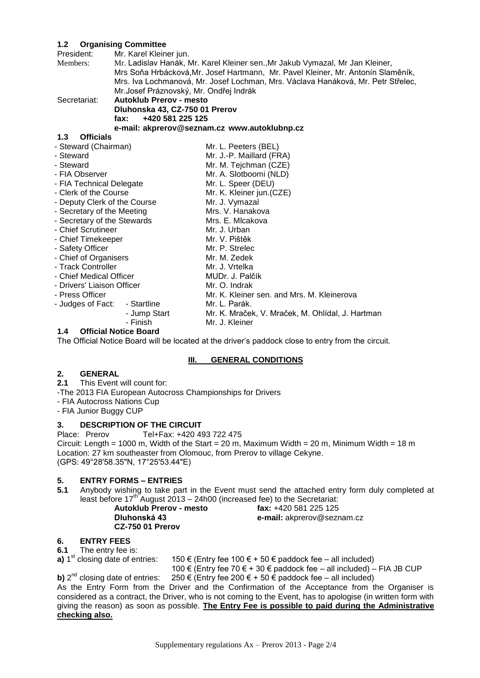# **1.2 Organising Committee**

| $1.2$ Urganising Committee   |                                        |                                                                                  |  |  |
|------------------------------|----------------------------------------|----------------------------------------------------------------------------------|--|--|
| President:                   | Mr. Karel Kleiner jun.                 |                                                                                  |  |  |
| Members:                     |                                        | Mr. Ladislav Hanák, Mr. Karel Kleiner sen., Mr Jakub Vymazal, Mr Jan Kleiner,    |  |  |
|                              |                                        | Mrs Soňa Hrbácková, Mr. Josef Hartmann, Mr. Pavel Kleiner, Mr. Antonín Slaměník, |  |  |
|                              |                                        | Mrs. Iva Lochmanová, Mr. Josef Lochman, Mrs. Václava Hanáková, Mr. Petr Střelec, |  |  |
|                              | Mr.Josef Práznovský, Mr. Ondřej Indrák |                                                                                  |  |  |
| Secretariat:                 | <b>Autoklub Prerov - mesto</b>         |                                                                                  |  |  |
|                              | Dluhonska 43, CZ-750 01 Prerov         |                                                                                  |  |  |
|                              | +420 581 225 125<br>fax:               |                                                                                  |  |  |
|                              |                                        | e-mail: akprerov@seznam.cz www.autoklubnp.cz                                     |  |  |
| 1.3<br><b>Officials</b>      |                                        |                                                                                  |  |  |
| - Steward (Chairman)         |                                        | Mr. L. Peeters (BEL)                                                             |  |  |
| - Steward                    |                                        | Mr. J.-P. Maillard (FRA)                                                         |  |  |
| - Steward                    |                                        | Mr. M. Tejchman (CZE)                                                            |  |  |
| - FIA Observer               |                                        | Mr. A. Slotboomi (NLD)                                                           |  |  |
| - FIA Technical Delegate     |                                        | Mr. L. Speer (DEU)                                                               |  |  |
| - Clerk of the Course        |                                        | Mr. K. Kleiner jun.(CZE)                                                         |  |  |
| - Deputy Clerk of the Course |                                        | Mr. J. Vymazal                                                                   |  |  |
| - Secretary of the Meeting   |                                        | Mrs. V. Hanakova                                                                 |  |  |
| - Secretary of the Stewards  |                                        | Mrs. E. Micakova                                                                 |  |  |
| - Chief Scrutineer           |                                        | Mr. J. Urban                                                                     |  |  |
| - Chief Timekeeper           |                                        | Mr. V. Pištěk                                                                    |  |  |
| - Safety Officer             |                                        | Mr. P. Strelec                                                                   |  |  |
| - Chief of Organisers        |                                        | Mr. M. Zedek                                                                     |  |  |
| - Track Controller           |                                        | Mr. J. Vrtelka                                                                   |  |  |
| - Chief Medical Officer      |                                        | MUDr. J. Palčík                                                                  |  |  |
| - Drivers' Liaison Officer   |                                        | Mr. O. Indrak                                                                    |  |  |
| - Press Officer              |                                        | Mr. K. Kleiner sen. and Mrs. M. Kleinerova                                       |  |  |
| - Judges of Fact:            | - Startline                            | Mr. L. Parák.                                                                    |  |  |
|                              | - Jump Start                           | Mr. K. Mraček, V. Mraček, M. Ohlídal, J. Hartman                                 |  |  |
|                              | - Finish                               | Mr. J. Kleiner                                                                   |  |  |

#### **1.4 Official Notice Board**

The Official Notice Board will be located at the driver's paddock close to entry from the circuit.

## **III. GENERAL CONDITIONS**

# 2. **GENERAL**<br>2.1 This Event

- **2.1** This Event will count for:
- -The 2013 FIA European Autocross Championships for Drivers
- FIA Autocross Nations Cup
- FIA Junior Buggy CUP

## **3. DESCRIPTION OF THE CIRCUIT**

Place: Prerov Tel+Fax: +420 493 722 475 Circuit: Length = 1000 m, Width of the Start = 20 m, Maximum Width = 20 m, Minimum Width = 18 m Location: 27 km southeaster from Olomouc, from Prerov to village Cekyne. (GPS: 49°28'58.35"N, 17°25'53.44"E)

## **5. ENTRY FORMS – ENTRIES**

**5.1** Anybody wishing to take part in the Event must send the attached entry form duly completed at least before 17<sup>th</sup> August 2013 - 24h00 (increased fee) to the Secretariat:

**CZ-750 01 Prerov**

**Autoklub Prerov - mesto fax:** +420 581 225 125 **Dluhonská 43 e-mail:** akprerov@seznam.cz

# **6. ENTRY FEES**

**6.1** The entry fee is:

**a)** 1<sup>st</sup> closing date of entries: 150 € (Entry fee 100 € + 50 € paddock fee – all included)

100 € (Entry fee 70 € + 30 € paddock fee – all included) – FIA JB CUP

**b)** 2<sup>nd</sup> closing date of entries: 250 € (Entry fee 200 € + 50 € paddock fee – all included) As the Entry Form from the Driver and the Confirmation of the Acceptance from the Organiser is considered as a contract, the Driver, who is not coming to the Event, has to apologise (in written form with giving the reason) as soon as possible. **The Entry Fee is possible to paid during the Administrative checking also.**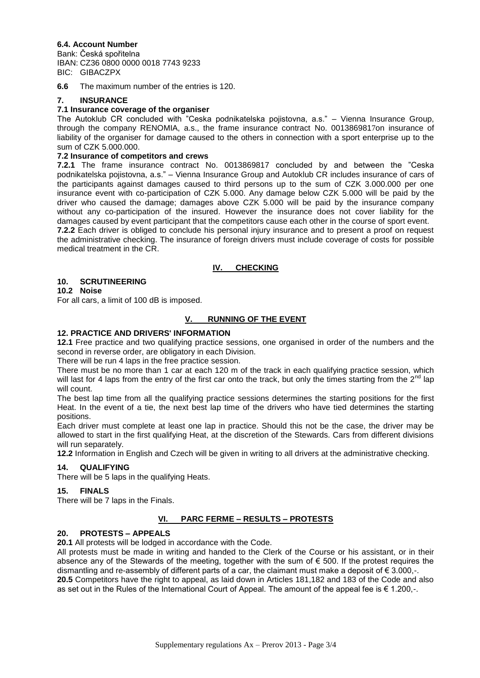# **6.4. Account Number**

Bank: Česká spořitelna IBAN: CZ36 0800 0000 0018 7743 9233 BIC: GIBACZPX

**6.6** The maximum number of the entries is 120.

## **7. INSURANCE**

#### **7.1 Insurance coverage of the organiser**

The Autoklub CR concluded with "Ceska podnikatelska pojistovna, a.s." – Vienna Insurance Group, through the company RENOMIA, a.s., the frame insurance contract No. 0013869817on insurance of liability of the organiser for damage caused to the others in connection with a sport enterprise up to the sum of CZK 5.000.000.

#### **7.2 Insurance of competitors and crews**

**7.2.1** The frame insurance contract No. 0013869817 concluded by and between the "Ceska podnikatelska pojistovna, a.s." – Vienna Insurance Group and Autoklub CR includes insurance of cars of the participants against damages caused to third persons up to the sum of CZK 3.000.000 per one insurance event with co-participation of CZK 5.000. Any damage below CZK 5.000 will be paid by the driver who caused the damage; damages above CZK 5.000 will be paid by the insurance company without any co-participation of the insured. However the insurance does not cover liability for the damages caused by event participant that the competitors cause each other in the course of sport event. **7.2.2** Each driver is obliged to conclude his personal injury insurance and to present a proof on request the administrative checking. The insurance of foreign drivers must include coverage of costs for possible medical treatment in the CR.

## **IV. CHECKING**

## **10. SCRUTINEERING**

## **10.2 Noise**

For all cars, a limit of 100 dB is imposed.

## **V. RUNNING OF THE EVENT**

## **12. PRACTICE AND DRIVERS' INFORMATION**

**12.1** Free practice and two qualifying practice sessions, one organised in order of the numbers and the second in reverse order, are obligatory in each Division.

There will be run 4 laps in the free practice session.

There must be no more than 1 car at each 120 m of the track in each qualifying practice session, which will last for 4 laps from the entry of the first car onto the track, but only the times starting from the  $2^{nd}$  lap will count.

The best lap time from all the qualifying practice sessions determines the starting positions for the first Heat. In the event of a tie, the next best lap time of the drivers who have tied determines the starting positions.

Each driver must complete at least one lap in practice. Should this not be the case, the driver may be allowed to start in the first qualifying Heat, at the discretion of the Stewards. Cars from different divisions will run separately.

**12.2** Information in English and Czech will be given in writing to all drivers at the administrative checking.

## **14. QUALIFYING**

There will be 5 laps in the qualifying Heats.

#### **15. FINALS**

There will be 7 laps in the Finals.

#### **VI. PARC FERME – RESULTS – PROTESTS**

## **20. PROTESTS – APPEALS**

**20.1** All protests will be lodged in accordance with the Code.

All protests must be made in writing and handed to the Clerk of the Course or his assistant, or in their absence any of the Stewards of the meeting, together with the sum of  $\epsilon$  500. If the protest requires the dismantling and re-assembly of different parts of a car, the claimant must make a deposit of  $\epsilon$  3.000,-. **20.5** Competitors have the right to appeal, as laid down in Articles 181,182 and 183 of the Code and also as set out in the Rules of the International Court of Appeal. The amount of the appeal fee is € 1.200,-.